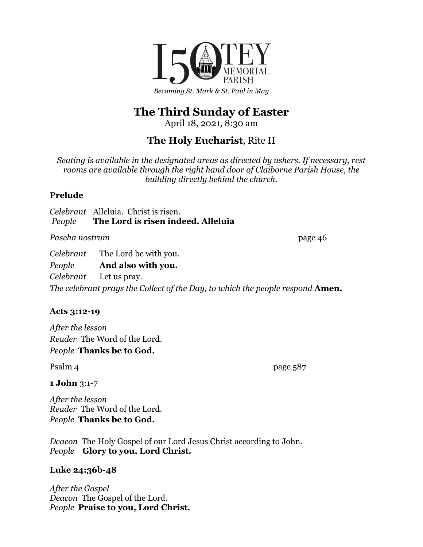

# **The Third Sunday of Easter**

April 18, 2021, 8:30 am

## **The Holy Eucharist**, Rite II

*Seating is available in the designated areas as directed by ushers. If necessary, rest rooms are available through the right hand door of Claiborne Parish House, the building directly behind the church.*

## **Prelude**

*Celebrant* Alleluia. Christ is risen. *People* **The Lord is risen indeed. Alleluia**

Pascha nostrum page 46

*Celebrant* The Lord be with you.

*People* **And also with you.**

*Celebrant* Let us pray. *The celebrant prays the Collect of the Day, to which the people respond* **Amen.**

## **Acts 3:12-19**

*After the lesson Reader* The Word of the Lord. *People* **Thanks be to God.**

Psalm 4 page 587

**1 John** 3:1-7

*After the lesson Reader* The Word of the Lord. *People* **Thanks be to God.**

*Deacon* The Holy Gospel of our Lord Jesus Christ according to John. *People* **Glory to you, Lord Christ.**

## **Luke 24:36b-48**

*After the Gospel Deacon* The Gospel of the Lord. *People* **Praise to you, Lord Christ.**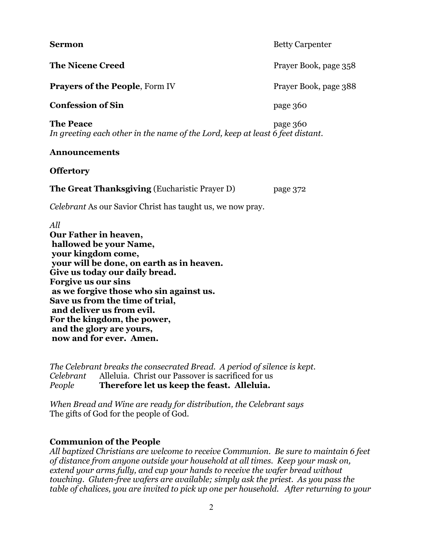**Sermon** Betty Carpenter **The Nicene Creed** Prayer Book, page 358 **Prayers of the People**, Form IV Prayer Book, page 388 **Confession of Sin** page 360 **The Peace** page 360 *In greeting each other in the name of the Lord, keep at least 6 feet distant.* **Announcements Offertory The Great Thanksgiving** (Eucharistic Prayer D) page 372 *Celebrant* As our Savior Christ has taught us, we now pray. *All* **Our Father in heaven, hallowed be your Name, your kingdom come, your will be done, on earth as in heaven. Give us today our daily bread.**

**Forgive us our sins as we forgive those who sin against us. Save us from the time of trial, and deliver us from evil. For the kingdom, the power, and the glory are yours, now and for ever. Amen.**

*The Celebrant breaks the consecrated Bread. A period of silence is kept. Celebrant* Alleluia. Christ our Passover is sacrificed for us *People* **Therefore let us keep the feast. Alleluia.**

*When Bread and Wine are ready for distribution, the Celebrant says* The gifts of God for the people of God.

#### **Communion of the People**

*All baptized Christians are welcome to receive Communion. Be sure to maintain 6 feet of distance from anyone outside your household at all times. Keep your mask on, extend your arms fully, and cup your hands to receive the wafer bread without touching. Gluten-free wafers are available; simply ask the priest. As you pass the table of chalices, you are invited to pick up one per household. After returning to your*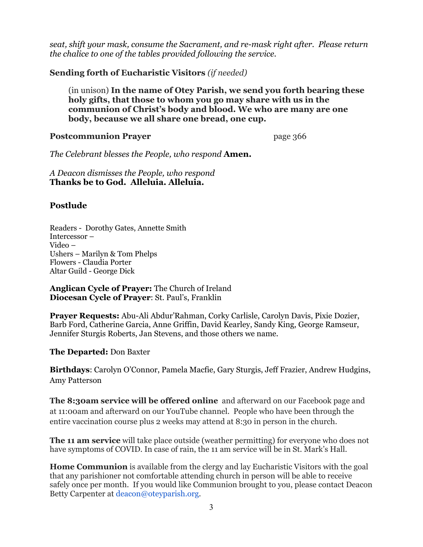*seat, shift your mask, consume the Sacrament, and re-mask right after. Please return the chalice to one of the tables provided following the service.*

**Sending forth of Eucharistic Visitors** *(if needed)*

(in unison) **In the name of Otey Parish, we send you forth bearing these holy gifts, that those to whom you go may share with us in the communion of Christ's body and blood. We who are many are one body, because we all share one bread, one cup.**

#### **Postcommunion Prayer** page 366

*The Celebrant blesses the People, who respond* **Amen.**

*A Deacon dismisses the People, who respond* **Thanks be to God. Alleluia. Alleluia.**

## **Postlude**

Readers - Dorothy Gates, Annette Smith Intercessor – Video – Ushers – Marilyn & Tom Phelps Flowers - Claudia Porter Altar Guild - George Dick

**Anglican Cycle of Prayer:** The Church of Ireland **Diocesan Cycle of Prayer**: St. Paul's, Franklin

**Prayer Requests:** Abu-Ali Abdur'Rahman, Corky Carlisle, Carolyn Davis, Pixie Dozier, Barb Ford, Catherine Garcia, Anne Griffin, David Kearley, Sandy King, George Ramseur, Jennifer Sturgis Roberts, Jan Stevens, and those others we name.

**The Departed:** Don Baxter

**Birthdays**: Carolyn O'Connor, Pamela Macfie, Gary Sturgis, Jeff Frazier, Andrew Hudgins, Amy Patterson

**The 8:30am service will be offered online** and afterward on our Facebook page and at 11:00am and afterward on our YouTube channel. People who have been through the entire vaccination course plus 2 weeks may attend at 8:30 in person in the church.

**The 11 am service** will take place outside (weather permitting) for everyone who does not have symptoms of COVID. In case of rain, the 11 am service will be in St. Mark's Hall.

**Home Communion** is available from the clergy and lay Eucharistic Visitors with the goal that any parishioner not comfortable attending church in person will be able to receive safely once per month. If you would like Communion brought to you, please contact Deacon Betty Carpenter at deacon@oteyparish.org.